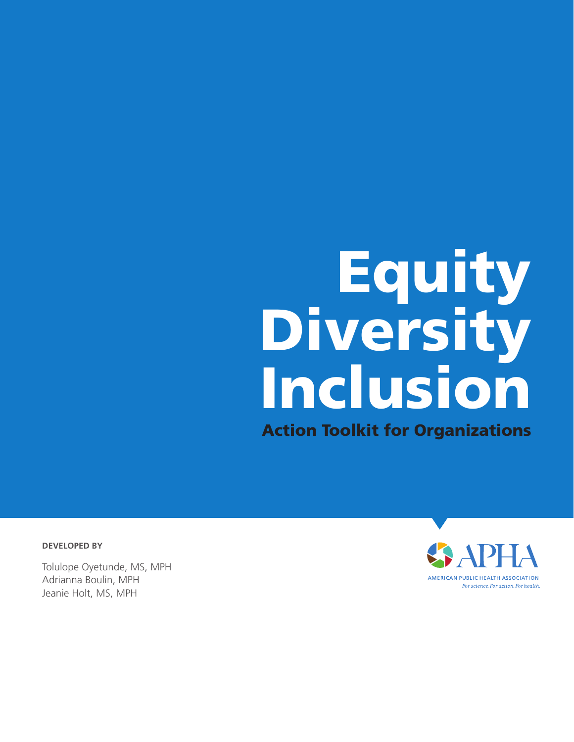# Equity Diversity Inclusion Action Toolkit for Organizations

**DEVELOPED BY**

Tolulope Oyetunde, MS, MPH Adrianna Boulin, MPH Jeanie Holt, MS, MPH

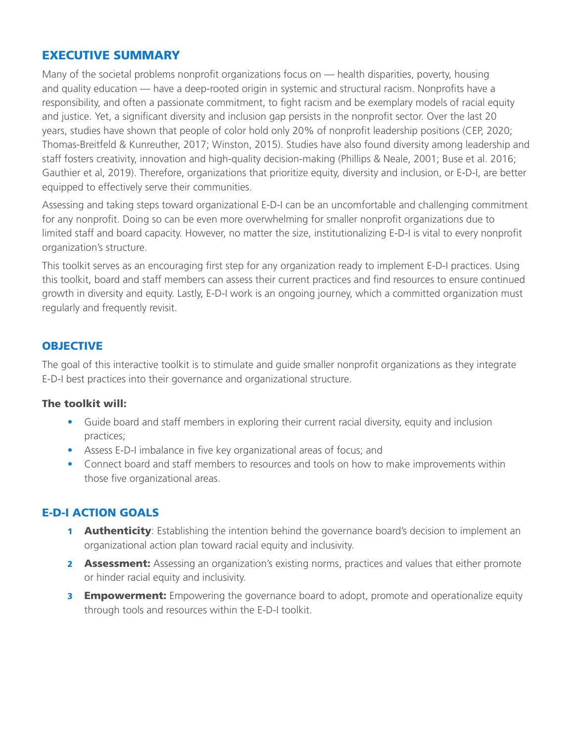# EXECUTIVE SUMMARY

Many of the societal problems nonprofit organizations focus on — health disparities, poverty, housing and quality education — have a deep-rooted origin in systemic and structural racism. Nonprofits have a responsibility, and often a passionate commitment, to fight racism and be exemplary models of racial equity and justice. Yet, a significant diversity and inclusion gap persists in the nonprofit sector. Over the last 20 years, studies have shown that people of color hold only 20% of nonprofit leadership positions (CEP, 2020; Thomas-Breitfeld & Kunreuther, 2017; Winston, 2015). Studies have also found diversity among leadership and staff fosters creativity, innovation and high-quality decision-making (Phillips & Neale, 2001; Buse et al. 2016; Gauthier et al, 2019). Therefore, organizations that prioritize equity, diversity and inclusion, or E-D-I, are better equipped to effectively serve their communities.

Assessing and taking steps toward organizational E-D-I can be an uncomfortable and challenging commitment for any nonprofit. Doing so can be even more overwhelming for smaller nonprofit organizations due to limited staff and board capacity. However, no matter the size, institutionalizing E-D-I is vital to every nonprofit organization's structure.

This toolkit serves as an encouraging first step for any organization ready to implement E-D-I practices. Using this toolkit, board and staff members can assess their current practices and find resources to ensure continued growth in diversity and equity. Lastly, E-D-I work is an ongoing journey, which a committed organization must regularly and frequently revisit.

# **OBJECTIVE**

The goal of this interactive toolkit is to stimulate and guide smaller nonprofit organizations as they integrate E-D-I best practices into their governance and organizational structure.

#### The toolkit will:

- Guide board and staff members in exploring their current racial diversity, equity and inclusion practices;
- Assess E-D-I imbalance in five key organizational areas of focus; and
- Connect board and staff members to resources and tools on how to make improvements within those five organizational areas.

# E-D-I ACTION GOALS

- **1 Authenticity**: Establishing the intention behind the governance board's decision to implement an organizational action plan toward racial equity and inclusivity.
- **2 Assessment:** Assessing an organization's existing norms, practices and values that either promote or hinder racial equity and inclusivity.
- **3 Empowerment:** Empowering the governance board to adopt, promote and operationalize equity through tools and resources within the E-D-I toolkit.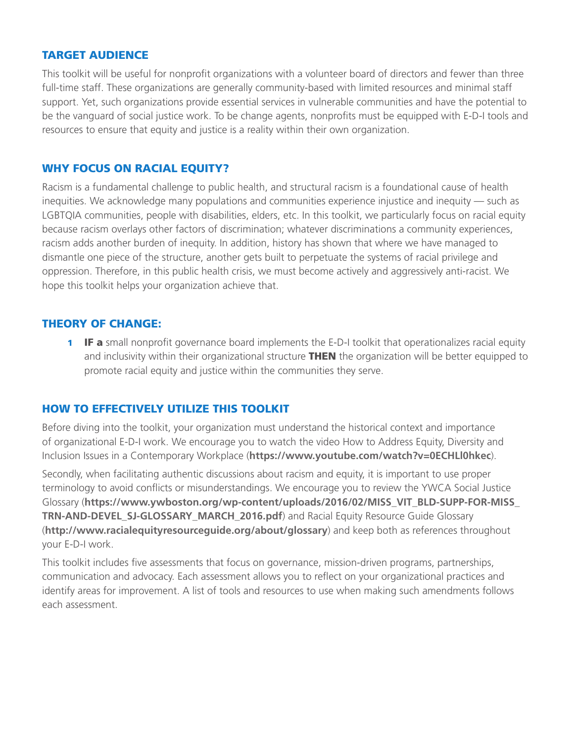#### TARGET AUDIENCE

This toolkit will be useful for nonprofit organizations with a volunteer board of directors and fewer than three full-time staff. These organizations are generally community-based with limited resources and minimal staff support. Yet, such organizations provide essential services in vulnerable communities and have the potential to be the vanguard of social justice work. To be change agents, nonprofits must be equipped with E-D-I tools and resources to ensure that equity and justice is a reality within their own organization.

#### WHY FOCUS ON RACIAL EQUITY?

Racism is a fundamental challenge to public health, and structural racism is a foundational cause of health inequities. We acknowledge many populations and communities experience injustice and inequity — such as LGBTQIA communities, people with disabilities, elders, etc. In this toolkit, we particularly focus on racial equity because racism overlays other factors of discrimination; whatever discriminations a community experiences, racism adds another burden of inequity. In addition, history has shown that where we have managed to dismantle one piece of the structure, another gets built to perpetuate the systems of racial privilege and oppression. Therefore, in this public health crisis, we must become actively and aggressively anti-racist. We hope this toolkit helps your organization achieve that.

#### THEORY OF CHANGE:

**1 IF a** small nonprofit governance board implements the E-D-I toolkit that operationalizes racial equity and inclusivity within their organizational structure **THEN** the organization will be better equipped to promote racial equity and justice within the communities they serve.

#### HOW TO EFFECTIVELY UTILIZE THIS TOOLKIT

Before diving into the toolkit, your organization must understand the historical context and importance of organizational E-D-I work. We encourage you to watch the video How to Address Equity, Diversity and Inclusion Issues in a Contemporary Workplace (**https://www.youtube.com/watch?v=0ECHLl0hkec**).

Secondly, when facilitating authentic discussions about racism and equity, it is important to use proper terminology to avoid conflicts or misunderstandings. We encourage you to review the YWCA Social Justice Glossary (**https://www.ywboston.org/wp-content/uploads/2016/02/MISS\_VIT\_BLD-SUPP-FOR-MISS\_ TRN-AND-DEVEL\_SJ-GLOSSARY\_MARCH\_2016.pdf**) and Racial Equity Resource Guide Glossary (**http://www.racialequityresourceguide.org/about/glossary**) and keep both as references throughout your E-D-I work.

This toolkit includes five assessments that focus on governance, mission-driven programs, partnerships, communication and advocacy. Each assessment allows you to reflect on your organizational practices and identify areas for improvement. A list of tools and resources to use when making such amendments follows each assessment.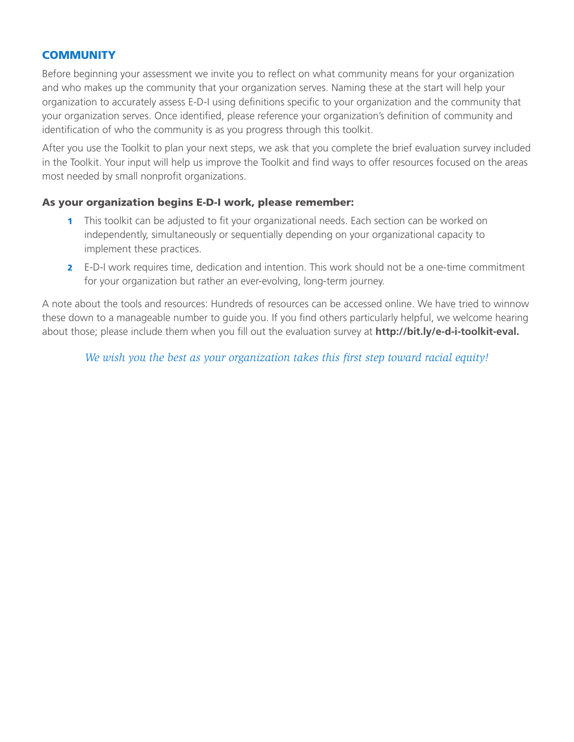# **COMMUNITY**

Before beginning your assessment we invite you to reflect on what community means for your organization and who makes up the community that your organization serves. Naming these at the start will help your organization to accurately assess E-D-I using definitions specific to your organization and the community that your organization serves. Once identified, please reference your organization's definition of community and identification of who the community is as you progress through this toolkit.

After you use the Toolkit to plan your next steps, we ask that you complete the brief evaluation survey included in the Toolkit. Your input will help us improve the Toolkit and find ways to offer resources focused on the areas most needed by small nonprofit organizations.

#### As your organization begins E-D-I work, please remember:

- **1** This toolkit can be adjusted to fit your organizational needs. Each section can be worked on independently, simultaneously or sequentially depending on your organizational capacity to implement these practices.
- 2 E-D-I work requires time, dedication and intention. This work should not be a one-time commitment for your organization but rather an ever-evolving, long-term journey.

A note about the tools and resources: Hundreds of resources can be accessed online. We have tried to winnow these down to a manageable number to guide you. If you find others particularly helpful, we welcome hearing about those; please include them when you fill out the evaluation survey at **http://bit.ly/e-d-i-toolkit-eval.**

*We wish you the best as your organization takes this first step toward racial equity!*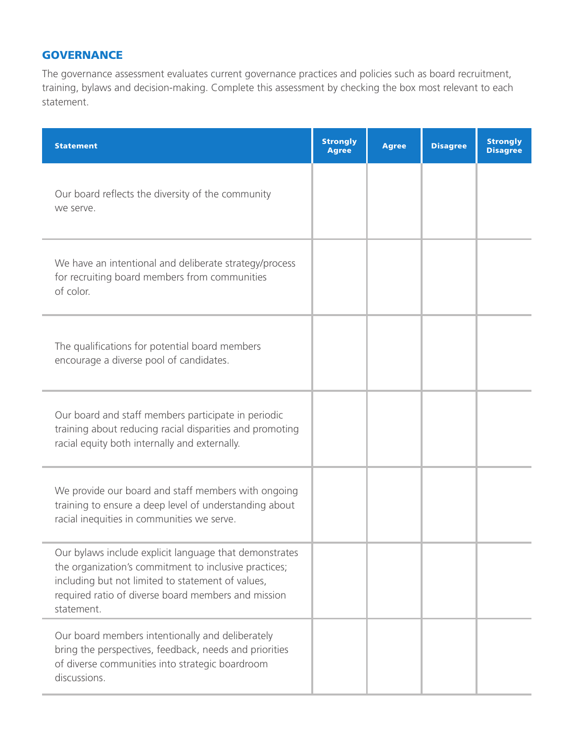# **GOVERNANCE**

The governance assessment evaluates current governance practices and policies such as board recruitment, training, bylaws and decision-making. Complete this assessment by checking the box most relevant to each statement.

| <b>Statement</b>                                                                                                                                                                                                                          | <b>Strongly</b><br><b>Agree</b> | <b>Agree</b> | <b>Disagree</b> | <b>Strongly</b><br><b>Disagree</b> |
|-------------------------------------------------------------------------------------------------------------------------------------------------------------------------------------------------------------------------------------------|---------------------------------|--------------|-----------------|------------------------------------|
| Our board reflects the diversity of the community<br>we serve.                                                                                                                                                                            |                                 |              |                 |                                    |
| We have an intentional and deliberate strategy/process<br>for recruiting board members from communities<br>of color.                                                                                                                      |                                 |              |                 |                                    |
| The qualifications for potential board members<br>encourage a diverse pool of candidates.                                                                                                                                                 |                                 |              |                 |                                    |
| Our board and staff members participate in periodic<br>training about reducing racial disparities and promoting<br>racial equity both internally and externally.                                                                          |                                 |              |                 |                                    |
| We provide our board and staff members with ongoing<br>training to ensure a deep level of understanding about<br>racial inequities in communities we serve.                                                                               |                                 |              |                 |                                    |
| Our bylaws include explicit language that demonstrates<br>the organization's commitment to inclusive practices;<br>including but not limited to statement of values,<br>required ratio of diverse board members and mission<br>statement. |                                 |              |                 |                                    |
| Our board members intentionally and deliberately<br>bring the perspectives, feedback, needs and priorities<br>of diverse communities into strategic boardroom<br>discussions.                                                             |                                 |              |                 |                                    |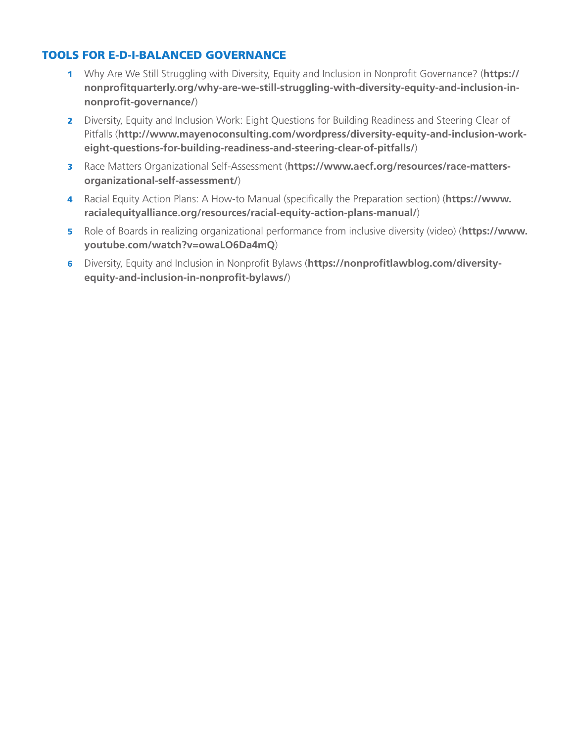# TOOLS FOR E-D-I-BALANCED GOVERNANCE

- 1 Why Are We Still Struggling with Diversity, Equity and Inclusion in Nonprofit Governance? (**https:// nonprofitquarterly.org/why-are-we-still-struggling-with-diversity-equity-and-inclusion-innonprofit-governance/**)
- 2 Diversity, Equity and Inclusion Work: Eight Questions for Building Readiness and Steering Clear of Pitfalls (**http://www.mayenoconsulting.com/wordpress/diversity-equity-and-inclusion-workeight-questions-for-building-readiness-and-steering-clear-of-pitfalls/**)
- 3 Race Matters Organizational Self-Assessment (**https://www.aecf.org/resources/race-mattersorganizational-self-assessment/**)
- 4 Racial Equity Action Plans: A How-to Manual (specifically the Preparation section) (**https://www. racialequityalliance.org/resources/racial-equity-action-plans-manual/**)
- 5 Role of Boards in realizing organizational performance from inclusive diversity (video) (**https://www. youtube.com/watch?v=owaLO6Da4mQ**)
- 6 Diversity, Equity and Inclusion in Nonprofit Bylaws (**https://nonprofitlawblog.com/diversityequity-and-inclusion-in-nonprofit-bylaws/**)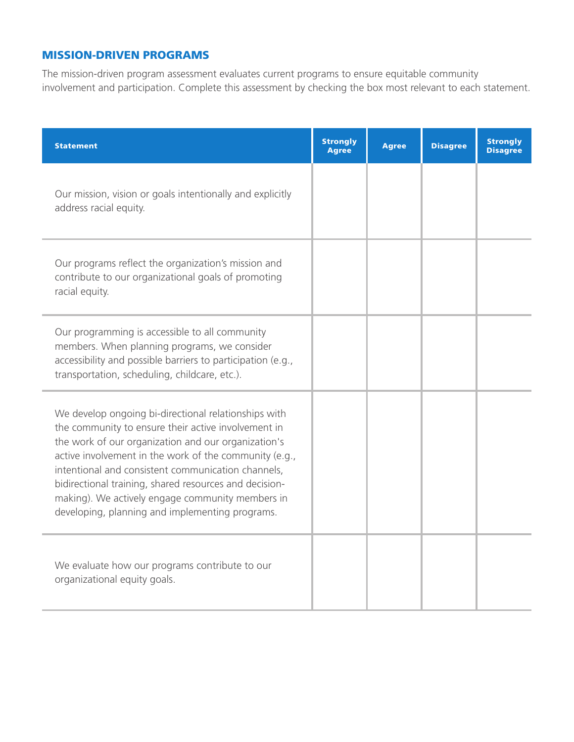# MISSION-DRIVEN PROGRAMS

The mission-driven program assessment evaluates current programs to ensure equitable community involvement and participation. Complete this assessment by checking the box most relevant to each statement.

| <b>Statement</b>                                                                                                                                                                                                                                                                                                                                                                                                                                    | <b>Strongly</b><br><b>Agree</b> | <b>Agree</b> | <b>Disagree</b> | <b>Strongly</b><br><b>Disagree</b> |
|-----------------------------------------------------------------------------------------------------------------------------------------------------------------------------------------------------------------------------------------------------------------------------------------------------------------------------------------------------------------------------------------------------------------------------------------------------|---------------------------------|--------------|-----------------|------------------------------------|
| Our mission, vision or goals intentionally and explicitly<br>address racial equity.                                                                                                                                                                                                                                                                                                                                                                 |                                 |              |                 |                                    |
| Our programs reflect the organization's mission and<br>contribute to our organizational goals of promoting<br>racial equity.                                                                                                                                                                                                                                                                                                                        |                                 |              |                 |                                    |
| Our programming is accessible to all community<br>members. When planning programs, we consider<br>accessibility and possible barriers to participation (e.g.,<br>transportation, scheduling, childcare, etc.).                                                                                                                                                                                                                                      |                                 |              |                 |                                    |
| We develop ongoing bi-directional relationships with<br>the community to ensure their active involvement in<br>the work of our organization and our organization's<br>active involvement in the work of the community (e.g.,<br>intentional and consistent communication channels,<br>bidirectional training, shared resources and decision-<br>making). We actively engage community members in<br>developing, planning and implementing programs. |                                 |              |                 |                                    |
| We evaluate how our programs contribute to our<br>organizational equity goals.                                                                                                                                                                                                                                                                                                                                                                      |                                 |              |                 |                                    |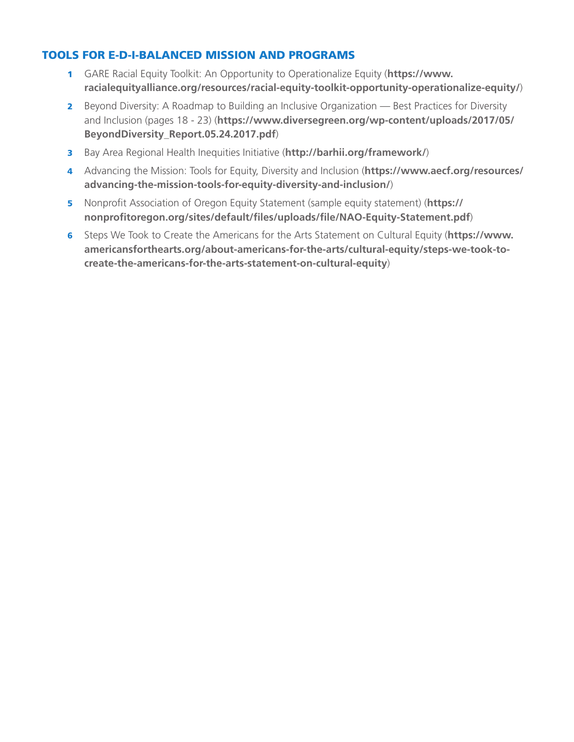# TOOLS FOR E-D-I-BALANCED MISSION AND PROGRAMS

- 1 GARE Racial Equity Toolkit: An Opportunity to Operationalize Equity (**https://www. racialequityalliance.org/resources/racial-equity-toolkit-opportunity-operationalize-equity/**)
- 2 Beyond Diversity: A Roadmap to Building an Inclusive Organization Best Practices for Diversity and Inclusion (pages 18 - 23) (**https://www.diversegreen.org/wp-content/uploads/2017/05/ BeyondDiversity\_Report.05.24.2017.pdf**)
- 3 Bay Area Regional Health Inequities Initiative (**http://barhii.org/framework/**)
- 4 Advancing the Mission: Tools for Equity, Diversity and Inclusion (**https://www.aecf.org/resources/ advancing-the-mission-tools-for-equity-diversity-and-inclusion/**)
- 5 Nonprofit Association of Oregon Equity Statement (sample equity statement) (**https:// nonprofitoregon.org/sites/default/files/uploads/file/NAO-Equity-Statement.pdf**)
- 6 Steps We Took to Create the Americans for the Arts Statement on Cultural Equity (**https://www. americansforthearts.org/about-americans-for-the-arts/cultural-equity/steps-we-took-tocreate-the-americans-for-the-arts-statement-on-cultural-equity**)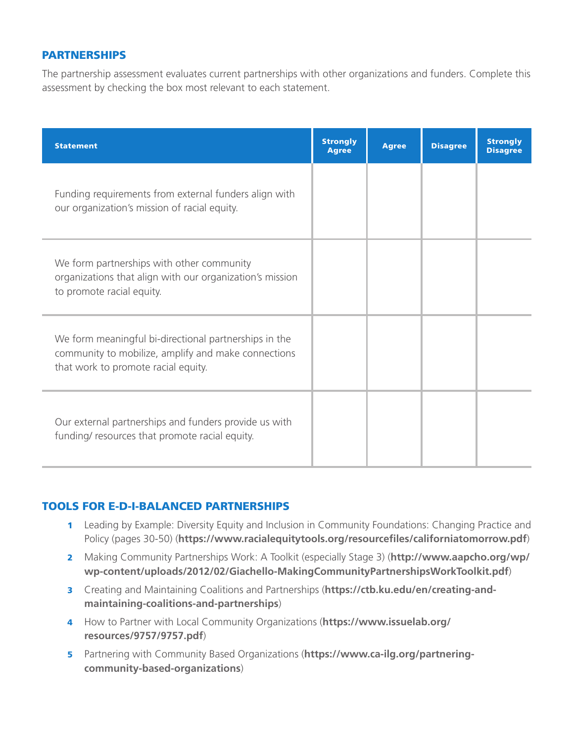#### PARTNERSHIPS

The partnership assessment evaluates current partnerships with other organizations and funders. Complete this assessment by checking the box most relevant to each statement.

| <b>Statement</b>                                                                                                                                    | <b>Strongly</b><br><b>Agree</b> | <b>Agree</b> | <b>Disagree</b> | <b>Strongly</b><br><b>Disagree</b> |
|-----------------------------------------------------------------------------------------------------------------------------------------------------|---------------------------------|--------------|-----------------|------------------------------------|
| Funding requirements from external funders align with<br>our organization's mission of racial equity.                                               |                                 |              |                 |                                    |
| We form partnerships with other community<br>organizations that align with our organization's mission<br>to promote racial equity.                  |                                 |              |                 |                                    |
| We form meaningful bi-directional partnerships in the<br>community to mobilize, amplify and make connections<br>that work to promote racial equity. |                                 |              |                 |                                    |
| Our external partnerships and funders provide us with<br>funding/resources that promote racial equity.                                              |                                 |              |                 |                                    |

# TOOLS FOR E-D-I-BALANCED PARTNERSHIPS

- 1 Leading by Example: Diversity Equity and Inclusion in Community Foundations: Changing Practice and Policy (pages 30-50) (**https://www.racialequitytools.org/resourcefiles/californiatomorrow.pdf**)
- 2 Making Community Partnerships Work: A Toolkit (especially Stage 3) (**http://www.aapcho.org/wp/ wp-content/uploads/2012/02/Giachello-MakingCommunityPartnershipsWorkToolkit.pdf**)
- 3 Creating and Maintaining Coalitions and Partnerships (**https://ctb.ku.edu/en/creating-andmaintaining-coalitions-and-partnerships**)
- 4 How to Partner with Local Community Organizations (**https://www.issuelab.org/ resources/9757/9757.pdf**)
- 5 Partnering with Community Based Organizations (**https://www.ca-ilg.org/partneringcommunity-based-organizations**)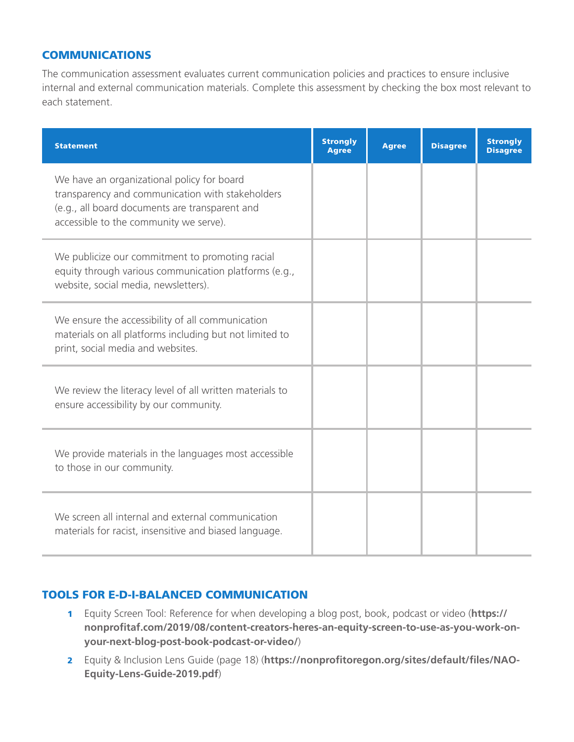#### **COMMUNICATIONS**

The communication assessment evaluates current communication policies and practices to ensure inclusive internal and external communication materials. Complete this assessment by checking the box most relevant to each statement.

| <b>Statement</b>                                                                                                                                                                           | <b>Strongly</b><br><b>Agree</b> | <b>Agree</b> | <b>Disagree</b> | <b>Strongly</b><br><b>Disagree</b> |
|--------------------------------------------------------------------------------------------------------------------------------------------------------------------------------------------|---------------------------------|--------------|-----------------|------------------------------------|
| We have an organizational policy for board<br>transparency and communication with stakeholders<br>(e.g., all board documents are transparent and<br>accessible to the community we serve). |                                 |              |                 |                                    |
| We publicize our commitment to promoting racial<br>equity through various communication platforms (e.g.,<br>website, social media, newsletters).                                           |                                 |              |                 |                                    |
| We ensure the accessibility of all communication<br>materials on all platforms including but not limited to<br>print, social media and websites.                                           |                                 |              |                 |                                    |
| We review the literacy level of all written materials to<br>ensure accessibility by our community.                                                                                         |                                 |              |                 |                                    |
| We provide materials in the languages most accessible<br>to those in our community.                                                                                                        |                                 |              |                 |                                    |
| We screen all internal and external communication<br>materials for racist, insensitive and biased language.                                                                                |                                 |              |                 |                                    |

#### TOOLS FOR E-D-I-BALANCED COMMUNICATION

- 1 Equity Screen Tool: Reference for when developing a blog post, book, podcast or video (**https:// nonprofitaf.com/2019/08/content-creators-heres-an-equity-screen-to-use-as-you-work-onyour-next-blog-post-book-podcast-or-video/**)
- 2 Equity & Inclusion Lens Guide (page 18) (**https://nonprofitoregon.org/sites/default/files/NAO-Equity-Lens-Guide-2019.pdf**)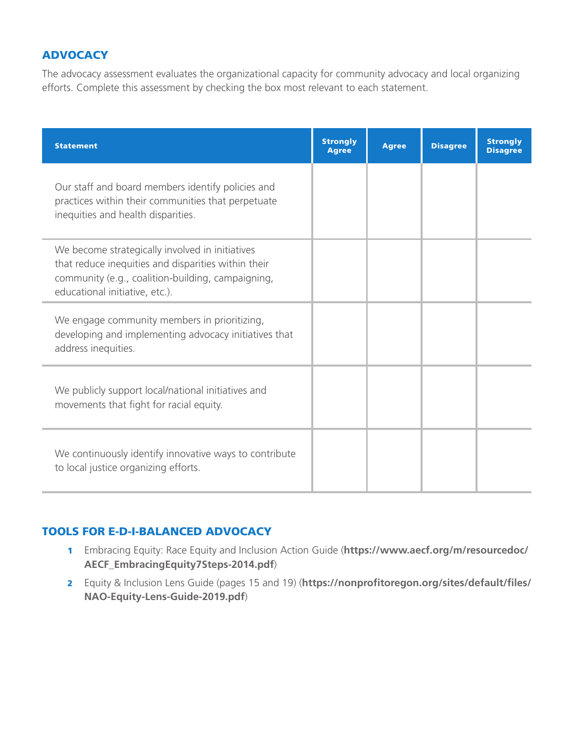# **ADVOCACY**

The advocacy assessment evaluates the organizational capacity for community advocacy and local organizing efforts. Complete this assessment by checking the box most relevant to each statement.

| <b>Statement</b>                                                                                                                                                                              | <b>Strongly</b><br><b>Agree</b> | <b>Agree</b> | <b>Disagree</b> | <b>Strongly</b><br><b>Disagree</b> |
|-----------------------------------------------------------------------------------------------------------------------------------------------------------------------------------------------|---------------------------------|--------------|-----------------|------------------------------------|
| Our staff and board members identify policies and<br>practices within their communities that perpetuate<br>inequities and health disparities.                                                 |                                 |              |                 |                                    |
| We become strategically involved in initiatives<br>that reduce inequities and disparities within their<br>community (e.g., coalition-building, campaigning,<br>educational initiative, etc.). |                                 |              |                 |                                    |
| We engage community members in prioritizing,<br>developing and implementing advocacy initiatives that<br>address inequities.                                                                  |                                 |              |                 |                                    |
| We publicly support local/national initiatives and<br>movements that fight for racial equity.                                                                                                 |                                 |              |                 |                                    |
| We continuously identify innovative ways to contribute<br>to local justice organizing efforts.                                                                                                |                                 |              |                 |                                    |

# TOOLS FOR E-D-I-BALANCED ADVOCACY

- 1 Embracing Equity: Race Equity and Inclusion Action Guide (**https://www.aecf.org/m/resourcedoc/ AECF\_EmbracingEquity7Steps-2014.pdf**)
- 2 Equity & Inclusion Lens Guide (pages 15 and 19) (**https://nonprofitoregon.org/sites/default/files/ NAO-Equity-Lens-Guide-2019.pdf**)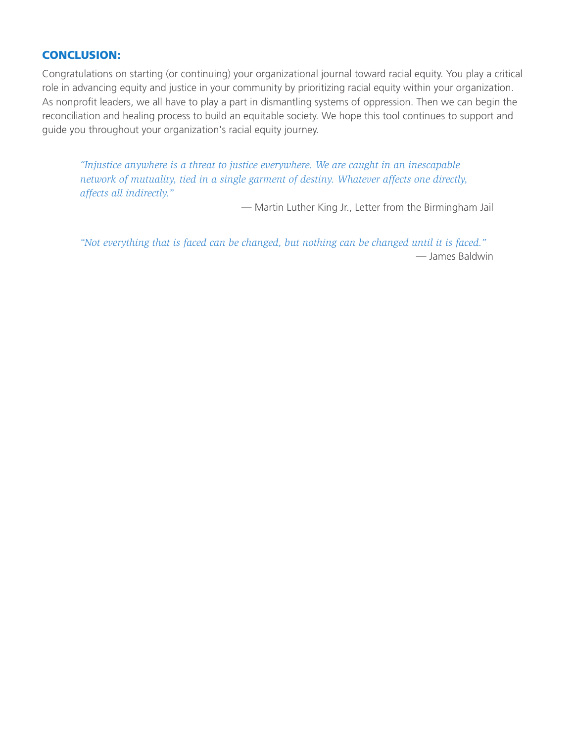# CONCLUSION:

Congratulations on starting (or continuing) your organizational journal toward racial equity. You play a critical role in advancing equity and justice in your community by prioritizing racial equity within your organization. As nonprofit leaders, we all have to play a part in dismantling systems of oppression. Then we can begin the reconciliation and healing process to build an equitable society. We hope this tool continues to support and guide you throughout your organization's racial equity journey.

*"Injustice anywhere is a threat to justice everywhere. We are caught in an inescapable network of mutuality, tied in a single garment of destiny. Whatever affects one directly, affects all indirectly."* 

— Martin Luther King Jr., Letter from the Birmingham Jail

*"Not everything that is faced can be changed, but nothing can be changed until it is faced."* — James Baldwin